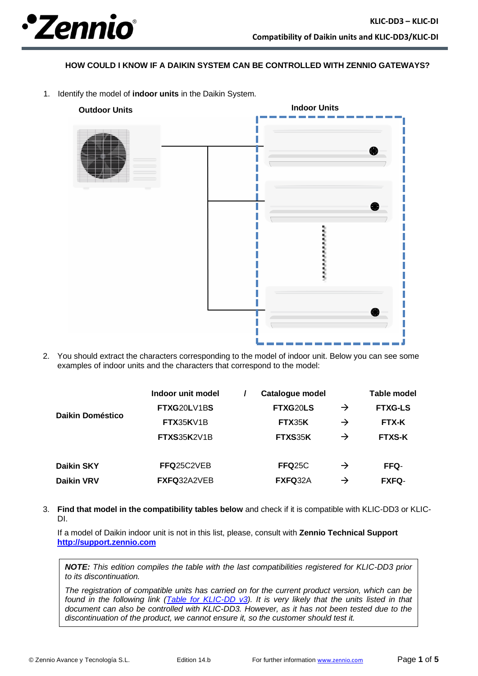

**HOW COULD I KNOW IF A DAIKIN SYSTEM CAN BE CONTROLLED WITH ZENNIO GATEWAYS?**

1. Identify the model of **indoor units** in the Daikin System.



2. You should extract the characters corresponding to the model of indoor unit. Below you can see some examples of indoor units and the characters that correspond to the model:

|                   | Indoor unit model  | <b>Catalogue model</b> |               | Table model    |
|-------------------|--------------------|------------------------|---------------|----------------|
| Daikin Doméstico  | FTXG20LV1BS        | FTXG20LS               | $\rightarrow$ | <b>FTXG-LS</b> |
|                   | FTX35KV1B          | <b>FTX35K</b>          | $\rightarrow$ | <b>FTX-K</b>   |
|                   | <b>FTXS35K2V1B</b> | FTXS35K                | $\rightarrow$ | <b>FTXS-K</b>  |
| Daikin SKY        | FFQ25C2VEB         | <b>FFQ25C</b>          | $\rightarrow$ | FFQ-           |
| <b>Daikin VRV</b> | FXFQ32A2VEB        | FXFQ32A                | $\rightarrow$ | <b>FXFQ-</b>   |

3. **Find that model in the compatibility tables below** and check if it is compatible with KLIC-DD3 or KLIC-DI.

If a model of Daikin indoor unit is not in this list, please, consult with **Zennio Technical Support [http://support.zennio.com](http://support.zennio.com/)**

*NOTE: This edition compiles the table with the last compatibilities registered for KLIC-DD3 prior to its discontinuation.*

*The registration of compatible units has carried on for the current product version, which can be found in the following link [\(Table for KLIC-DD v3\)](https://www.zennio.com/download/technical_note_klic-dd_v3_di_correspondences_en). It is very likely that the units listed in that document can also be controlled with KLIC-DD3. However, as it has not been tested due to the discontinuation of the product, we cannot ensure it, so the customer should test it.*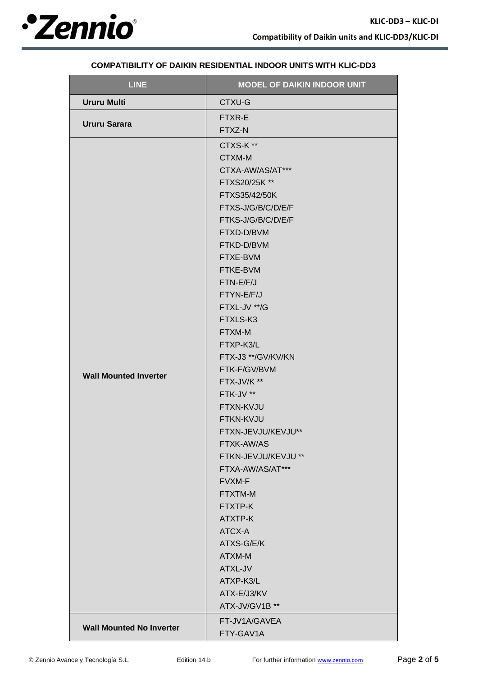

| <b>LINE</b>                     | <b>MODEL OF DAIKIN INDOOR UNIT</b> |  |
|---------------------------------|------------------------------------|--|
| <b>Ururu Multi</b>              | CTXU-G                             |  |
|                                 | FTXR-E                             |  |
| <b>Ururu Sarara</b>             | FTXZ-N                             |  |
|                                 | CTXS-K**                           |  |
|                                 | CTXM-M                             |  |
|                                 | CTXA-AW/AS/AT***                   |  |
|                                 | FTXS20/25K **                      |  |
|                                 | FTXS35/42/50K                      |  |
|                                 | FTXS-J/G/B/C/D/E/F                 |  |
|                                 | FTKS-J/G/B/C/D/E/F                 |  |
|                                 | FTXD-D/BVM                         |  |
|                                 | FTKD-D/BVM                         |  |
|                                 | FTXE-BVM                           |  |
|                                 | FTKE-BVM                           |  |
|                                 | FTN-E/F/J                          |  |
|                                 | FTYN-E/F/J                         |  |
|                                 | FTXL-JV **/G                       |  |
|                                 | FTXLS-K3                           |  |
|                                 | FTXM-M                             |  |
|                                 | FTXP-K3/L                          |  |
|                                 | FTX-J3 **/GV/KV/KN                 |  |
| <b>Wall Mounted Inverter</b>    | FTK-F/GV/BVM                       |  |
|                                 | FTX-JV/K **                        |  |
|                                 | FTK-JV **                          |  |
|                                 | FTXN-KVJU                          |  |
|                                 | FTKN-KVJU                          |  |
|                                 | FTXN-JEVJU/KEVJU**                 |  |
|                                 | FTXK-AW/AS<br>FTKN-JEVJU/KEVJU **  |  |
|                                 | FTXA-AW/AS/AT***                   |  |
|                                 | FVXM-F                             |  |
|                                 | FTXTM-M                            |  |
|                                 | FTXTP-K                            |  |
|                                 | ATXTP-K                            |  |
|                                 | ATCX-A                             |  |
|                                 | ATXS-G/E/K                         |  |
|                                 | ATXM-M                             |  |
|                                 | ATXL-JV                            |  |
|                                 | ATXP-K3/L                          |  |
|                                 | ATX-E/J3/KV                        |  |
|                                 | ATX-JV/GV1B **                     |  |
|                                 | FT-JV1A/GAVEA                      |  |
| <b>Wall Mounted No Inverter</b> | FTY-GAV1A                          |  |

## **COMPATIBILITY OF DAIKIN RESIDENTIAL INDOOR UNITS WITH KLIC-DD3**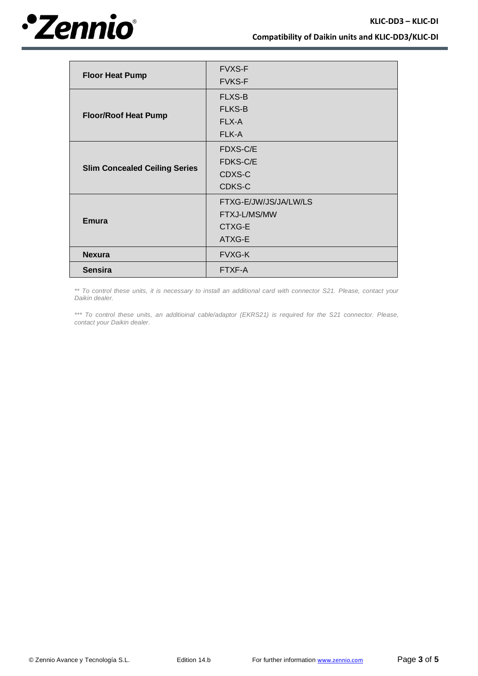

|                                      | <b>FVXS-F</b>         |
|--------------------------------------|-----------------------|
| <b>Floor Heat Pump</b>               | <b>FVKS-F</b>         |
|                                      | <b>FLXS-B</b>         |
|                                      | <b>FLKS-B</b>         |
| <b>Floor/Roof Heat Pump</b>          | FLX-A                 |
|                                      | FLK-A                 |
|                                      | FDXS-C/E              |
|                                      | FDKS-C/E              |
| <b>Slim Concealed Ceiling Series</b> | CDXS-C                |
|                                      | CDKS-C                |
|                                      | FTXG-E/JW/JS/JA/LW/LS |
|                                      | FTXJ-L/MS/MW          |
| <b>Emura</b>                         | CTXG-E                |
|                                      | ATXG-E                |
| <b>Nexura</b>                        | <b>FVXG-K</b>         |
| <b>Sensira</b>                       | FTXF-A                |

*\*\* To control these units, it is necessary to install an additional card with connector S21. Please, contact your Daikin dealer.*

*\*\*\* To control these units, an additioinal cable/adaptor (EKRS21) is required for the S21 connector. Please, contact your Daikin dealer.*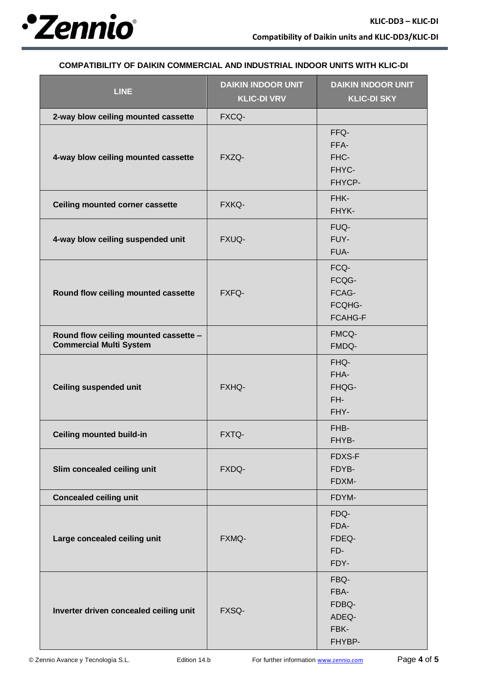

## **COMPATIBILITY OF DAIKIN COMMERCIAL AND INDUSTRIAL INDOOR UNITS WITH KLIC-DI**

| <b>LINE</b>                                                             | <b>DAIKIN INDOOR UNIT</b><br><b>KLIC-DI VRV</b> | <b>DAIKIN INDOOR UNIT</b><br><b>KLIC-DI SKY</b>    |  |
|-------------------------------------------------------------------------|-------------------------------------------------|----------------------------------------------------|--|
| 2-way blow ceiling mounted cassette                                     | FXCQ-                                           |                                                    |  |
| 4-way blow ceiling mounted cassette                                     | FXZQ-                                           | FFQ-<br>FFA-<br>FHC-<br>FHYC-<br>FHYCP-            |  |
| <b>Ceiling mounted corner cassette</b>                                  | FXKQ-                                           | FHK-<br>FHYK-                                      |  |
| 4-way blow ceiling suspended unit                                       | FXUQ-                                           | FUQ-<br>FUY-<br>FUA-                               |  |
| Round flow ceiling mounted cassette                                     | FXFQ-                                           | FCQ-<br>FCQG-<br>FCAG-<br>FCQHG-<br><b>FCAHG-F</b> |  |
| Round flow ceiling mounted cassette -<br><b>Commercial Multi System</b> |                                                 | FMCQ-<br>FMDQ-                                     |  |
| <b>Ceiling suspended unit</b>                                           | FXHQ-                                           | FHQ-<br>FHA-<br>FHQG-<br>FH-<br>FHY-               |  |
| <b>Ceiling mounted build-in</b>                                         | FXTQ-                                           | FHB-<br>FHYB-                                      |  |
| Slim concealed ceiling unit                                             | FXDQ-                                           | FDXS-F<br>FDYB-<br>FDXM-                           |  |
| <b>Concealed ceiling unit</b>                                           |                                                 | FDYM-                                              |  |
| Large concealed ceiling unit                                            | FXMQ-                                           | FDQ-<br>FDA-<br>FDEQ-<br>FD-<br>FDY-               |  |
| Inverter driven concealed ceiling unit                                  | FXSQ-                                           | FBQ-<br>FBA-<br>FDBQ-<br>ADEQ-<br>FBK-<br>FHYBP-   |  |